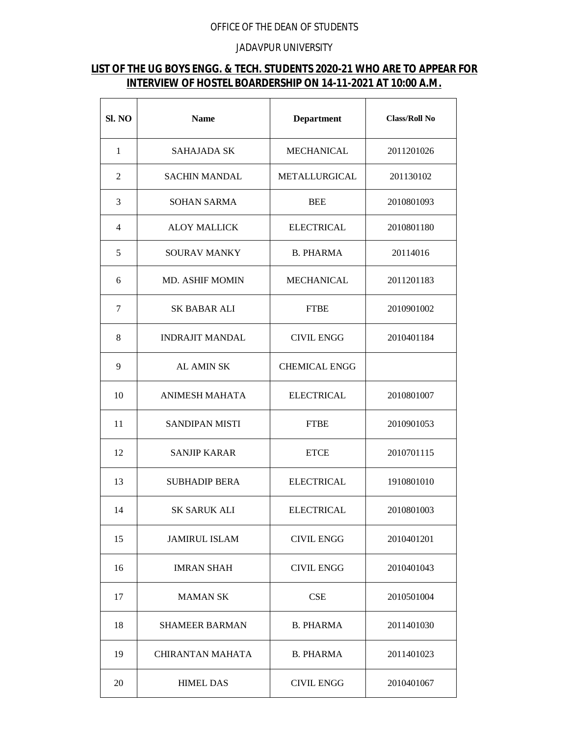## OFFICE OF THE DEAN OF STUDENTS

## JADAVPUR UNIVERSITY

## **LIST OF THE UG BOYS ENGG. & TECH. STUDENTS 2020-21 WHO ARE TO APPEAR FOR INTERVIEW OF HOSTEL BOARDERSHIP ON 14-11-2021 AT 10:00 A.M.**

| Sl. NO       | <b>Name</b>             | <b>Department</b>    | <b>Class/Roll No</b> |
|--------------|-------------------------|----------------------|----------------------|
| $\mathbf{1}$ | <b>SAHAJADA SK</b>      | <b>MECHANICAL</b>    | 2011201026           |
| 2            | <b>SACHIN MANDAL</b>    | METALLURGICAL        | 201130102            |
| 3            | <b>SOHAN SARMA</b>      | <b>BEE</b>           | 2010801093           |
| 4            | <b>ALOY MALLICK</b>     | <b>ELECTRICAL</b>    | 2010801180           |
| 5            | SOURAV MANKY            | <b>B. PHARMA</b>     | 20114016             |
| 6            | MD. ASHIF MOMIN         | <b>MECHANICAL</b>    | 2011201183           |
| 7            | SK BABAR ALI            | <b>FTBE</b>          | 2010901002           |
| 8            | <b>INDRAJIT MANDAL</b>  | <b>CIVIL ENGG</b>    | 2010401184           |
| 9            | <b>AL AMIN SK</b>       | <b>CHEMICAL ENGG</b> |                      |
| 10           | <b>ANIMESH MAHATA</b>   | <b>ELECTRICAL</b>    | 2010801007           |
| 11           | <b>SANDIPAN MISTI</b>   | <b>FTBE</b>          | 2010901053           |
| 12           | <b>SANJIP KARAR</b>     | <b>ETCE</b>          | 2010701115           |
| 13           | <b>SUBHADIP BERA</b>    | <b>ELECTRICAL</b>    | 1910801010           |
| 14           | <b>SK SARUK ALI</b>     | <b>ELECTRICAL</b>    | 2010801003           |
| 15           | <b>JAMIRUL ISLAM</b>    | <b>CIVIL ENGG</b>    | 2010401201           |
| 16           | <b>IMRAN SHAH</b>       | <b>CIVIL ENGG</b>    | 2010401043           |
| 17           | <b>MAMAN SK</b>         | <b>CSE</b>           | 2010501004           |
| 18           | <b>SHAMEER BARMAN</b>   | <b>B. PHARMA</b>     | 2011401030           |
| 19           | <b>CHIRANTAN MAHATA</b> | <b>B. PHARMA</b>     | 2011401023           |
| 20           | <b>HIMEL DAS</b>        | <b>CIVIL ENGG</b>    | 2010401067           |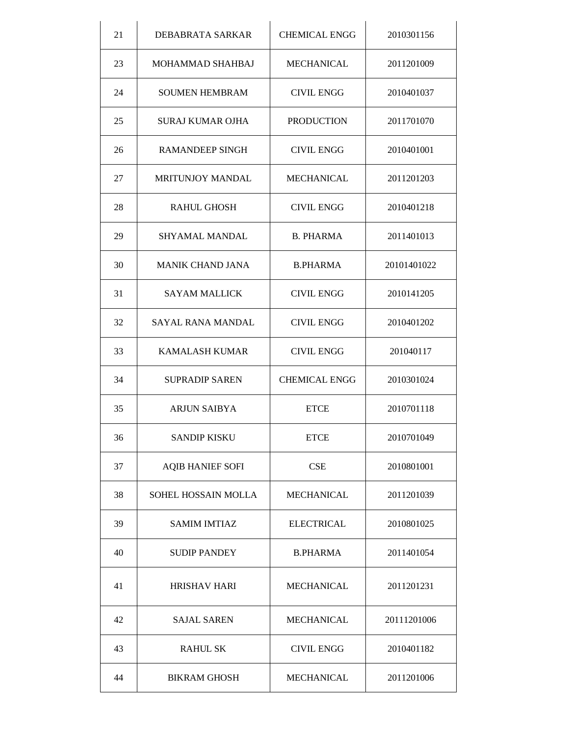| 21 | DEBABRATA SARKAR        | <b>CHEMICAL ENGG</b> | 2010301156  |
|----|-------------------------|----------------------|-------------|
| 23 | MOHAMMAD SHAHBAJ        | <b>MECHANICAL</b>    | 2011201009  |
| 24 | <b>SOUMEN HEMBRAM</b>   | <b>CIVIL ENGG</b>    | 2010401037  |
| 25 | <b>SURAJ KUMAR OJHA</b> | <b>PRODUCTION</b>    | 2011701070  |
| 26 | <b>RAMANDEEP SINGH</b>  | <b>CIVIL ENGG</b>    | 2010401001  |
| 27 | <b>MRITUNJOY MANDAL</b> | <b>MECHANICAL</b>    | 2011201203  |
| 28 | <b>RAHUL GHOSH</b>      | <b>CIVIL ENGG</b>    | 2010401218  |
| 29 | <b>SHYAMAL MANDAL</b>   | <b>B. PHARMA</b>     | 2011401013  |
| 30 | <b>MANIK CHAND JANA</b> | <b>B.PHARMA</b>      | 20101401022 |
| 31 | <b>SAYAM MALLICK</b>    | <b>CIVIL ENGG</b>    | 2010141205  |
| 32 | SAYAL RANA MANDAL       | <b>CIVIL ENGG</b>    | 2010401202  |
| 33 | <b>KAMALASH KUMAR</b>   | <b>CIVIL ENGG</b>    | 201040117   |
| 34 | <b>SUPRADIP SAREN</b>   | <b>CHEMICAL ENGG</b> | 2010301024  |
| 35 | <b>ARJUN SAIBYA</b>     | <b>ETCE</b>          | 2010701118  |
| 36 | <b>SANDIP KISKU</b>     | <b>ETCE</b>          | 2010701049  |
| 37 | <b>AQIB HANIEF SOFI</b> | CSE                  | 2010801001  |
| 38 | SOHEL HOSSAIN MOLLA     | MECHANICAL           | 2011201039  |
| 39 | <b>SAMIM IMTIAZ</b>     | <b>ELECTRICAL</b>    | 2010801025  |
| 40 | <b>SUDIP PANDEY</b>     | <b>B.PHARMA</b>      | 2011401054  |
| 41 | <b>HRISHAV HARI</b>     | <b>MECHANICAL</b>    | 2011201231  |
| 42 | <b>SAJAL SAREN</b>      | <b>MECHANICAL</b>    | 20111201006 |
| 43 | <b>RAHUL SK</b>         | <b>CIVIL ENGG</b>    | 2010401182  |
| 44 | <b>BIKRAM GHOSH</b>     | <b>MECHANICAL</b>    | 2011201006  |
|    |                         |                      |             |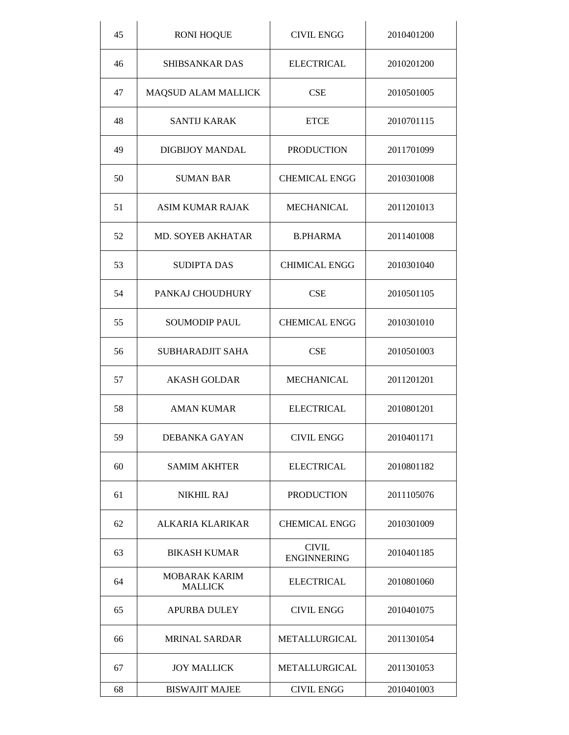| 45 | <b>RONI HOQUE</b>               | <b>CIVIL ENGG</b>                  | 2010401200 |
|----|---------------------------------|------------------------------------|------------|
| 46 | <b>SHIBSANKAR DAS</b>           | <b>ELECTRICAL</b>                  | 2010201200 |
| 47 | MAQSUD ALAM MALLICK             | <b>CSE</b>                         | 2010501005 |
| 48 | <b>SANTIJ KARAK</b>             | <b>ETCE</b>                        | 2010701115 |
| 49 | <b>DIGBIJOY MANDAL</b>          | <b>PRODUCTION</b>                  | 2011701099 |
| 50 | <b>SUMAN BAR</b>                | <b>CHEMICAL ENGG</b>               | 2010301008 |
| 51 | <b>ASIM KUMAR RAJAK</b>         | <b>MECHANICAL</b>                  | 2011201013 |
| 52 | <b>MD. SOYEB AKHATAR</b>        | <b>B.PHARMA</b>                    | 2011401008 |
| 53 | <b>SUDIPTA DAS</b>              | <b>CHIMICAL ENGG</b>               | 2010301040 |
| 54 | PANKAJ CHOUDHURY                | <b>CSE</b>                         | 2010501105 |
| 55 | <b>SOUMODIP PAUL</b>            | <b>CHEMICAL ENGG</b>               | 2010301010 |
| 56 | SUBHARADJIT SAHA                | <b>CSE</b>                         | 2010501003 |
| 57 | <b>AKASH GOLDAR</b>             | <b>MECHANICAL</b>                  | 2011201201 |
| 58 | <b>AMAN KUMAR</b>               | <b>ELECTRICAL</b>                  | 2010801201 |
| 59 | DEBANKA GAYAN                   | <b>CIVIL ENGG</b>                  | 2010401171 |
| 60 | <b>SAMIM AKHTER</b>             | <b>ELECTRICAL</b>                  | 2010801182 |
| 61 | <b>NIKHIL RAJ</b>               | <b>PRODUCTION</b>                  | 2011105076 |
| 62 | ALKARIA KLARIKAR                | <b>CHEMICAL ENGG</b>               | 2010301009 |
| 63 | <b>BIKASH KUMAR</b>             | <b>CIVIL</b><br><b>ENGINNERING</b> | 2010401185 |
| 64 | MOBARAK KARIM<br><b>MALLICK</b> | <b>ELECTRICAL</b>                  | 2010801060 |
| 65 | APURBA DULEY                    | <b>CIVIL ENGG</b>                  | 2010401075 |
| 66 | <b>MRINAL SARDAR</b>            | METALLURGICAL                      | 2011301054 |
| 67 | <b>JOY MALLICK</b>              | METALLURGICAL                      | 2011301053 |
| 68 | <b>BISWAJIT MAJEE</b>           | <b>CIVIL ENGG</b>                  | 2010401003 |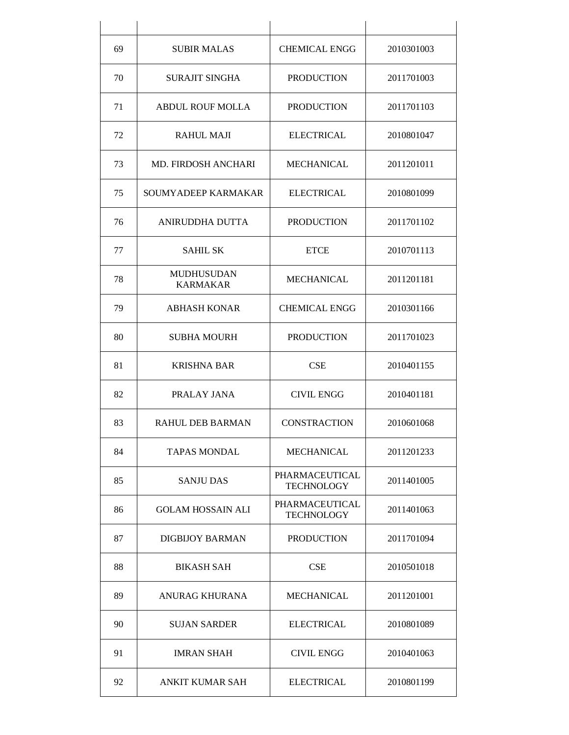| 69 | <b>SUBIR MALAS</b>                   | <b>CHEMICAL ENGG</b>                       | 2010301003 |
|----|--------------------------------------|--------------------------------------------|------------|
| 70 | <b>SURAJIT SINGHA</b>                | <b>PRODUCTION</b>                          | 2011701003 |
| 71 | <b>ABDUL ROUF MOLLA</b>              | <b>PRODUCTION</b>                          | 2011701103 |
| 72 | <b>RAHUL MAJI</b>                    | <b>ELECTRICAL</b>                          | 2010801047 |
| 73 | <b>MD. FIRDOSH ANCHARI</b>           | <b>MECHANICAL</b>                          | 2011201011 |
| 75 | SOUMYADEEP KARMAKAR                  | <b>ELECTRICAL</b>                          | 2010801099 |
| 76 | ANIRUDDHA DUTTA                      | <b>PRODUCTION</b>                          | 2011701102 |
| 77 | <b>SAHIL SK</b>                      | <b>ETCE</b>                                | 2010701113 |
| 78 | <b>MUDHUSUDAN</b><br><b>KARMAKAR</b> | <b>MECHANICAL</b>                          | 2011201181 |
| 79 | <b>ABHASH KONAR</b>                  | <b>CHEMICAL ENGG</b>                       | 2010301166 |
| 80 | <b>SUBHA MOURH</b>                   | <b>PRODUCTION</b>                          | 2011701023 |
| 81 | <b>KRISHNA BAR</b>                   | <b>CSE</b>                                 | 2010401155 |
| 82 | PRALAY JANA                          | <b>CIVIL ENGG</b>                          | 2010401181 |
| 83 | <b>RAHUL DEB BARMAN</b>              | <b>CONSTRACTION</b>                        | 2010601068 |
| 84 | <b>TAPAS MONDAL</b>                  | <b>MECHANICAL</b>                          | 2011201233 |
| 85 | <b>SANJU DAS</b>                     | PHARMACEUTICAL<br><b>TECHNOLOGY</b>        | 2011401005 |
| 86 | <b>GOLAM HOSSAIN ALI</b>             | <b>PHARMACEUTICAL</b><br><b>TECHNOLOGY</b> | 2011401063 |
| 87 | DIGBLIOY BARMAN                      | <b>PRODUCTION</b>                          | 2011701094 |
| 88 | <b>BIKASH SAH</b>                    | <b>CSE</b>                                 | 2010501018 |
| 89 | <b>ANURAG KHURANA</b>                | <b>MECHANICAL</b>                          | 2011201001 |
| 90 | <b>SUJAN SARDER</b>                  | <b>ELECTRICAL</b>                          | 2010801089 |
| 91 | <b>IMRAN SHAH</b>                    | <b>CIVIL ENGG</b>                          | 2010401063 |
| 92 | ANKIT KUMAR SAH                      | <b>ELECTRICAL</b>                          | 2010801199 |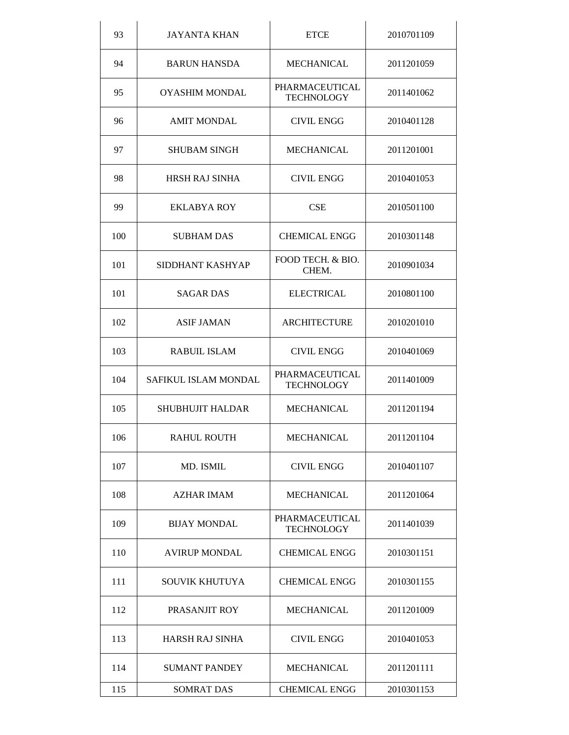| 93  | <b>JAYANTA KHAN</b>     | <b>ETCE</b>                         | 2010701109 |
|-----|-------------------------|-------------------------------------|------------|
| 94  | <b>BARUN HANSDA</b>     | MECHANICAL                          | 2011201059 |
| 95  | <b>OYASHIM MONDAL</b>   | PHARMACEUTICAL<br><b>TECHNOLOGY</b> | 2011401062 |
| 96  | <b>AMIT MONDAL</b>      | <b>CIVIL ENGG</b>                   | 2010401128 |
| 97  | <b>SHUBAM SINGH</b>     | <b>MECHANICAL</b>                   | 2011201001 |
| 98  | <b>HRSH RAJ SINHA</b>   | <b>CIVIL ENGG</b>                   | 2010401053 |
| 99  | <b>EKLABYA ROY</b>      | <b>CSE</b>                          | 2010501100 |
| 100 | <b>SUBHAM DAS</b>       | <b>CHEMICAL ENGG</b>                | 2010301148 |
| 101 | SIDDHANT KASHYAP        | FOOD TECH. & BIO.<br>CHEM.          | 2010901034 |
| 101 | <b>SAGAR DAS</b>        | <b>ELECTRICAL</b>                   | 2010801100 |
| 102 | <b>ASIF JAMAN</b>       | <b>ARCHITECTURE</b>                 | 2010201010 |
| 103 | <b>RABUIL ISLAM</b>     | <b>CIVIL ENGG</b>                   | 2010401069 |
| 104 | SAFIKUL ISLAM MONDAL    | PHARMACEUTICAL<br><b>TECHNOLOGY</b> | 2011401009 |
| 105 | <b>SHUBHUJIT HALDAR</b> | <b>MECHANICAL</b>                   | 2011201194 |
| 106 | <b>RAHUL ROUTH</b>      | <b>MECHANICAL</b>                   | 2011201104 |
| 107 | MD. ISMIL               | <b>CIVIL ENGG</b>                   | 2010401107 |
| 108 | <b>AZHAR IMAM</b>       | MECHANICAL                          | 2011201064 |
| 109 | <b>BIJAY MONDAL</b>     | PHARMACEUTICAL<br><b>TECHNOLOGY</b> | 2011401039 |
| 110 | <b>AVIRUP MONDAL</b>    | <b>CHEMICAL ENGG</b>                | 2010301151 |
| 111 | SOUVIK KHUTUYA          | <b>CHEMICAL ENGG</b>                | 2010301155 |
| 112 | PRASANJIT ROY           | <b>MECHANICAL</b>                   | 2011201009 |
| 113 | HARSH RAJ SINHA         | <b>CIVIL ENGG</b>                   | 2010401053 |
| 114 | <b>SUMANT PANDEY</b>    | <b>MECHANICAL</b>                   | 2011201111 |
| 115 | <b>SOMRAT DAS</b>       | <b>CHEMICAL ENGG</b>                | 2010301153 |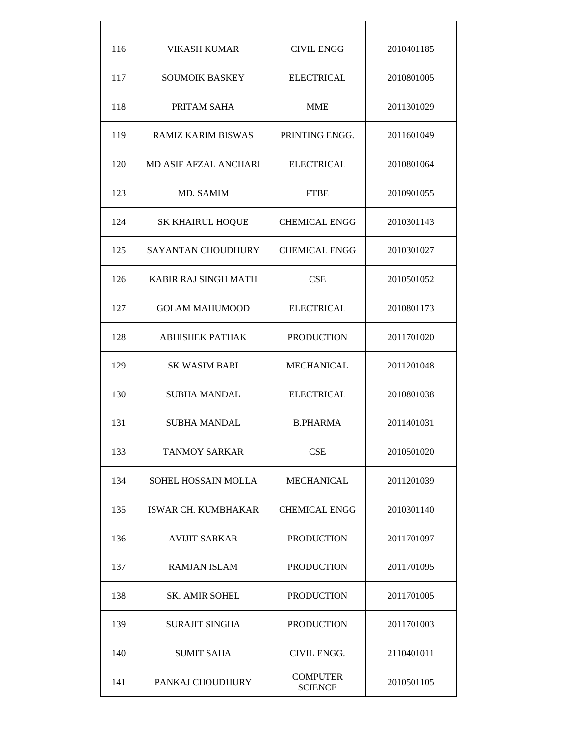| 116 | <b>VIKASH KUMAR</b>          | <b>CIVIL ENGG</b>                 | 2010401185 |
|-----|------------------------------|-----------------------------------|------------|
| 117 | <b>SOUMOIK BASKEY</b>        | <b>ELECTRICAL</b>                 | 2010801005 |
| 118 | PRITAM SAHA                  | <b>MME</b>                        | 2011301029 |
| 119 | <b>RAMIZ KARIM BISWAS</b>    | PRINTING ENGG.                    | 2011601049 |
| 120 | <b>MD ASIF AFZAL ANCHARI</b> | <b>ELECTRICAL</b>                 | 2010801064 |
| 123 | MD. SAMIM                    | <b>FTBE</b>                       | 2010901055 |
| 124 | <b>SK KHAIRUL HOQUE</b>      | <b>CHEMICAL ENGG</b>              | 2010301143 |
| 125 | <b>SAYANTAN CHOUDHURY</b>    | <b>CHEMICAL ENGG</b>              | 2010301027 |
| 126 | KABIR RAJ SINGH MATH         | <b>CSE</b>                        | 2010501052 |
| 127 | <b>GOLAM MAHUMOOD</b>        | <b>ELECTRICAL</b>                 | 2010801173 |
| 128 | <b>ABHISHEK PATHAK</b>       | <b>PRODUCTION</b>                 | 2011701020 |
| 129 | <b>SK WASIM BARI</b>         | <b>MECHANICAL</b>                 | 2011201048 |
| 130 | <b>SUBHA MANDAL</b>          | <b>ELECTRICAL</b>                 | 2010801038 |
| 131 | <b>SUBHA MANDAL</b>          | <b>B.PHARMA</b>                   | 2011401031 |
| 133 | <b>TANMOY SARKAR</b>         | <b>CSE</b>                        | 2010501020 |
| 134 | SOHEL HOSSAIN MOLLA          | <b>MECHANICAL</b>                 | 2011201039 |
| 135 | <b>ISWAR CH. KUMBHAKAR</b>   | <b>CHEMICAL ENGG</b>              | 2010301140 |
| 136 | AVIJIT SARKAR                | <b>PRODUCTION</b>                 | 2011701097 |
| 137 | <b>RAMJAN ISLAM</b>          | <b>PRODUCTION</b>                 | 2011701095 |
| 138 | <b>SK. AMIR SOHEL</b>        | <b>PRODUCTION</b>                 | 2011701005 |
| 139 | <b>SURAJIT SINGHA</b>        | <b>PRODUCTION</b>                 | 2011701003 |
| 140 | <b>SUMIT SAHA</b>            | CIVIL ENGG.                       | 2110401011 |
| 141 | PANKAJ CHOUDHURY             | <b>COMPUTER</b><br><b>SCIENCE</b> | 2010501105 |